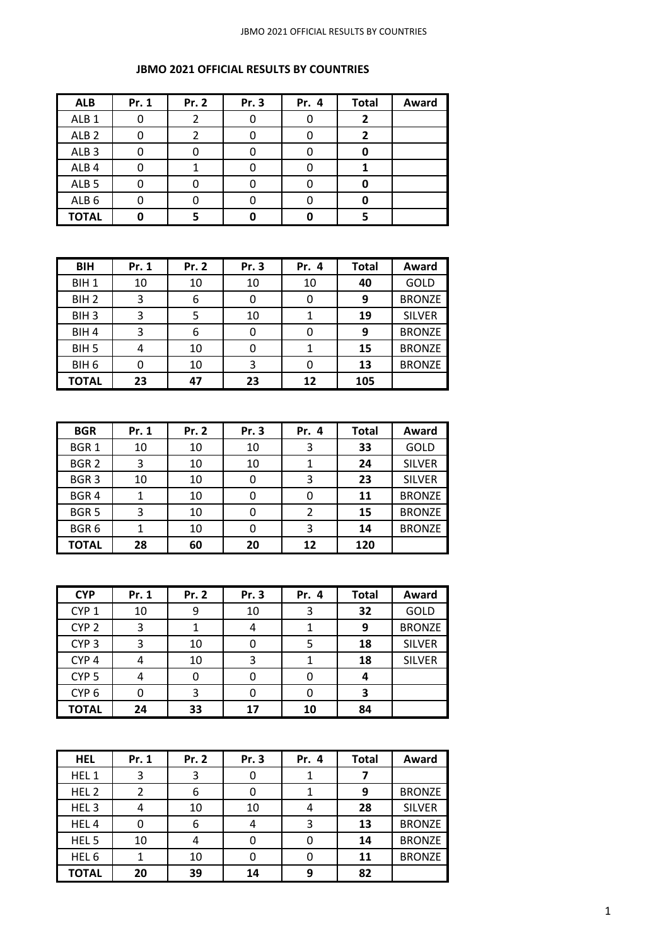| <b>ALB</b>       | Pr. 1 | Pr. 2 | Pr. 3 | Pr. 4 | <b>Total</b> | Award |
|------------------|-------|-------|-------|-------|--------------|-------|
| ALB <sub>1</sub> |       |       |       |       |              |       |
| ALB <sub>2</sub> |       |       |       |       |              |       |
| ALB <sub>3</sub> |       |       |       |       |              |       |
| ALB <sub>4</sub> |       |       |       |       |              |       |
| ALB <sub>5</sub> |       |       |       |       |              |       |
| ALB <sub>6</sub> |       |       |       |       |              |       |
| <b>TOTAL</b>     |       |       |       |       |              |       |

| <b>BIH</b>       | Pr. 1 | Pr. 2 | Pr. 3 | Pr. 4 | <b>Total</b> | Award         |
|------------------|-------|-------|-------|-------|--------------|---------------|
| BIH <sub>1</sub> | 10    | 10    | 10    | 10    | 40           | GOLD          |
| BIH <sub>2</sub> | 3     | 6     |       | 0     | 9            | <b>BRONZE</b> |
| BIH <sub>3</sub> | 3     | 5     | 10    |       | 19           | <b>SILVER</b> |
| BIH <sub>4</sub> | 3     | 6     |       | 0     | 9            | <b>BRONZE</b> |
| BIH <sub>5</sub> | 4     | 10    | 0     |       | 15           | <b>BRONZE</b> |
| BIH <sub>6</sub> |       | 10    | 3     | 0     | 13           | <b>BRONZE</b> |
| <b>TOTAL</b>     | 23    | 47    | 23    | 12    | 105          |               |

| <b>BGR</b>       | Pr. 1 | Pr. 2 | Pr. 3 | Pr. 4 | <b>Total</b> | Award         |
|------------------|-------|-------|-------|-------|--------------|---------------|
| BGR <sub>1</sub> | 10    | 10    | 10    | 3     | 33           | GOLD          |
| BGR <sub>2</sub> | 3     | 10    | 10    |       | 24           | <b>SILVER</b> |
| BGR <sub>3</sub> | 10    | 10    | 0     | 3     | 23           | <b>SILVER</b> |
| BGR <sub>4</sub> |       | 10    |       | 0     | 11           | <b>BRONZE</b> |
| BGR <sub>5</sub> | 3     | 10    | 0     | 2     | 15           | <b>BRONZE</b> |
| BGR <sub>6</sub> |       | 10    |       | 3     | 14           | <b>BRONZE</b> |
| <b>TOTAL</b>     | 28    | 60    | 20    | 12    | 120          |               |

| <b>CYP</b>       | Pr. 1 | Pr. 2 | Pr. 3 | Pr. 4 | <b>Total</b> | Award         |
|------------------|-------|-------|-------|-------|--------------|---------------|
| CYP <sub>1</sub> | 10    | 9     | 10    | 3     | 32           | GOLD          |
| CYP <sub>2</sub> | 3     |       |       |       | 9            | <b>BRONZE</b> |
| CYP <sub>3</sub> | 3     | 10    |       | 5     | 18           | <b>SILVER</b> |
| CYP <sub>4</sub> | 4     | 10    | ર     |       | 18           | <b>SILVER</b> |
| CYP <sub>5</sub> | 4     | 0     |       | 0     | 4            |               |
| CYP <sub>6</sub> |       | 3     |       | 0     | 3            |               |
| <b>TOTAL</b>     | 24    | 33    | 17    | 10    | 84           |               |

| <b>HEL</b>       | Pr. 1 | Pr. 2 | Pr. 3 | Pr. 4 | <b>Total</b> | Award         |
|------------------|-------|-------|-------|-------|--------------|---------------|
| HEL <sub>1</sub> | 3     | 3     |       |       |              |               |
| HEL <sub>2</sub> | 2     | 6     |       |       | 9            | <b>BRONZE</b> |
| HEL <sub>3</sub> | 4     | 10    | 10    | 4     | 28           | <b>SILVER</b> |
| HEL4             | 0     | 6     |       | 3     | 13           | <b>BRONZE</b> |
| HEL <sub>5</sub> | 10    | 4     |       | 0     | 14           | <b>BRONZE</b> |
| HEL <sub>6</sub> |       | 10    |       | 0     | 11           | <b>BRONZE</b> |
| <b>TOTAL</b>     | 20    | 39    | 14    | 9     | 82           |               |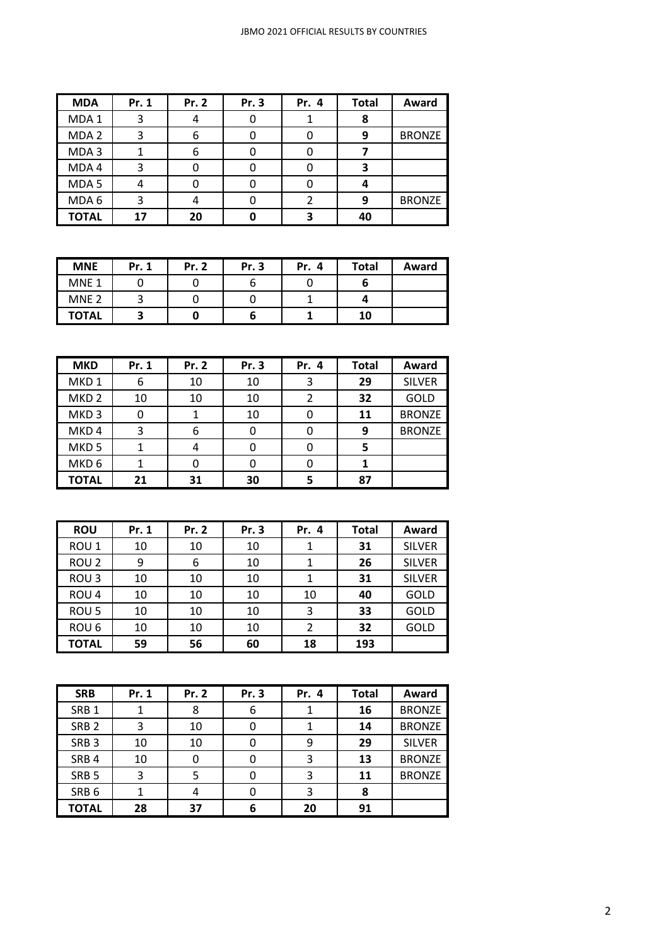| <b>MDA</b>       | Pr. 1 | Pr. 2 | Pr. 3 | Pr. 4 | <b>Total</b> | Award         |
|------------------|-------|-------|-------|-------|--------------|---------------|
| MDA <sub>1</sub> | 3     |       |       |       |              |               |
| MDA <sub>2</sub> | 3     | 6     |       |       | 9            | <b>BRONZE</b> |
| MDA3             |       | 6     |       |       |              |               |
| MDA4             | ੨     |       |       |       |              |               |
| MDA <sub>5</sub> |       |       |       |       |              |               |
| MDA 6            | 3     |       |       |       | q            | <b>BRONZE</b> |
| <b>TOTAL</b>     | 17    | 20    |       |       | 40           |               |

| <b>MNE</b>       | Pr. 1 | <b>Pr. 2</b> | Pr. 3 | Pr. 4 | <b>Total</b> | Award |
|------------------|-------|--------------|-------|-------|--------------|-------|
| MNE <sub>1</sub> |       |              |       |       |              |       |
| MNE <sub>2</sub> |       |              |       |       |              |       |
| <b>TOTAL</b>     |       |              |       |       | 10           |       |

| <b>MKD</b>       | Pr. 1 | Pr. 2 | Pr. 3 | Pr. 4 | <b>Total</b> | Award         |
|------------------|-------|-------|-------|-------|--------------|---------------|
| MKD <sub>1</sub> | 6     | 10    | 10    | 3     | 29           | <b>SILVER</b> |
| MKD <sub>2</sub> | 10    | 10    | 10    | 2     | 32           | GOLD          |
| MKD <sub>3</sub> | 0     |       | 10    | 0     | 11           | <b>BRONZE</b> |
| MKD <sub>4</sub> | 3     | 6     |       | 0     | 9            | <b>BRONZE</b> |
| MKD <sub>5</sub> |       | 4     |       | 0     |              |               |
| MKD <sub>6</sub> |       | 0     |       | 0     |              |               |
| <b>TOTAL</b>     | 21    | 31    | 30    |       | 87           |               |

| <b>ROU</b>       | Pr. 1 | Pr. 2 | Pr. 3 | Pr. 4          | <b>Total</b> | Award         |
|------------------|-------|-------|-------|----------------|--------------|---------------|
| ROU <sub>1</sub> | 10    | 10    | 10    |                | 31           | <b>SILVER</b> |
| ROU <sub>2</sub> | 9     | 6     | 10    | 1              | 26           | <b>SILVER</b> |
| ROU <sub>3</sub> | 10    | 10    | 10    |                | 31           | <b>SILVER</b> |
| ROU <sub>4</sub> | 10    | 10    | 10    | 10             | 40           | GOLD          |
| ROU <sub>5</sub> | 10    | 10    | 10    | 3              | 33           | GOLD          |
| ROU <sub>6</sub> | 10    | 10    | 10    | $\overline{2}$ | 32           | <b>GOLD</b>   |
| <b>TOTAL</b>     | 59    | 56    | 60    | 18             | 193          |               |

| <b>SRB</b>       | Pr. 1 | Pr. 2 | Pr. 3 | Pr. 4 | <b>Total</b> | Award         |
|------------------|-------|-------|-------|-------|--------------|---------------|
| SRB <sub>1</sub> |       | 8     | 6     |       | 16           | <b>BRONZE</b> |
| SRB <sub>2</sub> | 3     | 10    |       |       | 14           | <b>BRONZE</b> |
| SRB <sub>3</sub> | 10    | 10    |       | 9     | 29           | <b>SILVER</b> |
| SRB <sub>4</sub> | 10    | 0     |       | 3     | 13           | <b>BRONZE</b> |
| SRB <sub>5</sub> | 3     | 5     |       | 3     | 11           | <b>BRONZE</b> |
| SRB <sub>6</sub> |       | 4     |       | 3     | 8            |               |
| <b>TOTAL</b>     | 28    | 37    | 6     | 20    | 91           |               |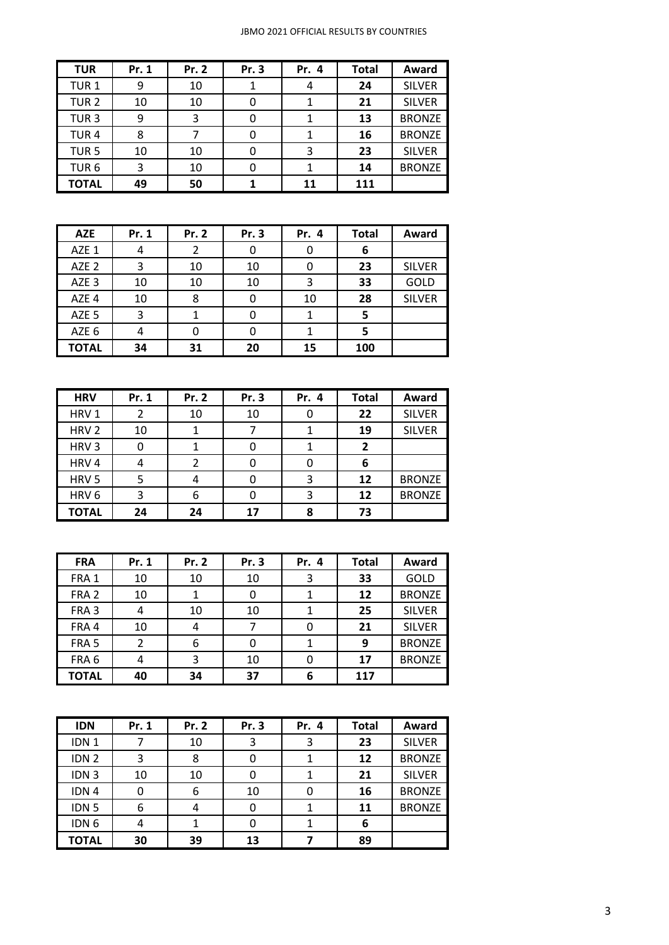| <b>TUR</b>       | Pr. 1 | Pr. 2 | Pr. 3 | Pr. 4 | <b>Total</b> | Award         |
|------------------|-------|-------|-------|-------|--------------|---------------|
| TUR <sub>1</sub> | 9     | 10    |       | 4     | 24           | <b>SILVER</b> |
| TUR <sub>2</sub> | 10    | 10    | 0     |       | 21           | <b>SILVER</b> |
| TUR <sub>3</sub> | 9     | 3     | 0     |       | 13           | <b>BRONZE</b> |
| TUR <sub>4</sub> | 8     | ⇁     | 0     |       | 16           | <b>BRONZE</b> |
| TUR <sub>5</sub> | 10    | 10    | 0     | 3     | 23           | <b>SILVER</b> |
| TUR <sub>6</sub> | 3     | 10    | 0     |       | 14           | <b>BRONZE</b> |
| <b>TOTAL</b>     | 49    | 50    |       | 11    | 111          |               |

| <b>AZE</b>       | Pr. 1 | Pr. 2 | Pr. 3 | Pr. 4 | <b>Total</b> | Award         |
|------------------|-------|-------|-------|-------|--------------|---------------|
| AZE 1            | 4     |       |       | 0     | 6            |               |
| AZE <sub>2</sub> | 3     | 10    | 10    | 0     | 23           | <b>SILVER</b> |
| AZE <sub>3</sub> | 10    | 10    | 10    | 3     | 33           | GOLD          |
| AZE 4            | 10    | 8     |       | 10    | 28           | <b>SILVER</b> |
| AZE <sub>5</sub> | 3     |       |       |       |              |               |
| AZE 6            | 4     | 0     |       |       | 5            |               |
| <b>TOTAL</b>     | 34    | 31    | 20    | 15    | 100          |               |

| <b>HRV</b>       | Pr. 1 | Pr. 2 | Pr. 3 | Pr. 4 | <b>Total</b>   | Award         |
|------------------|-------|-------|-------|-------|----------------|---------------|
| HRV <sub>1</sub> | 2     | 10    | 10    |       | 22             | <b>SILVER</b> |
| HRV <sub>2</sub> | 10    |       |       |       | 19             | <b>SILVER</b> |
| HRV <sub>3</sub> | 0     |       |       |       | $\overline{2}$ |               |
| HRV4             | 4     |       |       |       | 6              |               |
| HRV <sub>5</sub> |       | 4     |       | 3     | 12             | <b>BRONZE</b> |
| HRV <sub>6</sub> | 3     | 6     |       | 3     | 12             | <b>BRONZE</b> |
| <b>TOTAL</b>     | 24    | 24    | 17    | 8     | 73             |               |

| <b>FRA</b>       | Pr. 1 | Pr. 2 | Pr. 3 | Pr. 4 | <b>Total</b> | Award         |
|------------------|-------|-------|-------|-------|--------------|---------------|
| FRA 1            | 10    | 10    | 10    | 3     | 33           | GOLD          |
| FRA <sub>2</sub> | 10    |       |       |       | 12           | <b>BRONZE</b> |
| FRA <sub>3</sub> | 4     | 10    | 10    |       | 25           | <b>SILVER</b> |
| FRA 4            | 10    | 4     |       | 0     | 21           | <b>SILVER</b> |
| FRA <sub>5</sub> |       | 6     |       |       | 9            | <b>BRONZE</b> |
| FRA <sub>6</sub> | 4     | 3     | 10    | 0     | 17           | <b>BRONZE</b> |
| <b>TOTAL</b>     | 40    | 34    | 37    | 6     | 117          |               |

| <b>IDN</b>       | Pr. 1 | Pr. 2 | Pr. 3 | Pr. 4 | <b>Total</b> | Award         |
|------------------|-------|-------|-------|-------|--------------|---------------|
| IDN <sub>1</sub> |       | 10    | 3     | 3     | 23           | <b>SILVER</b> |
| IDN <sub>2</sub> | 3     | 8     |       |       | 12           | <b>BRONZE</b> |
| IDN <sub>3</sub> | 10    | 10    |       |       | 21           | <b>SILVER</b> |
| IDN <sub>4</sub> | 0     | 6     | 10    | 0     | 16           | <b>BRONZE</b> |
| IDN <sub>5</sub> | 6     |       |       |       | 11           | <b>BRONZE</b> |
| IDN <sub>6</sub> | 4     |       |       |       | 6            |               |
| <b>TOTAL</b>     | 30    | 39    | 13    |       | 89           |               |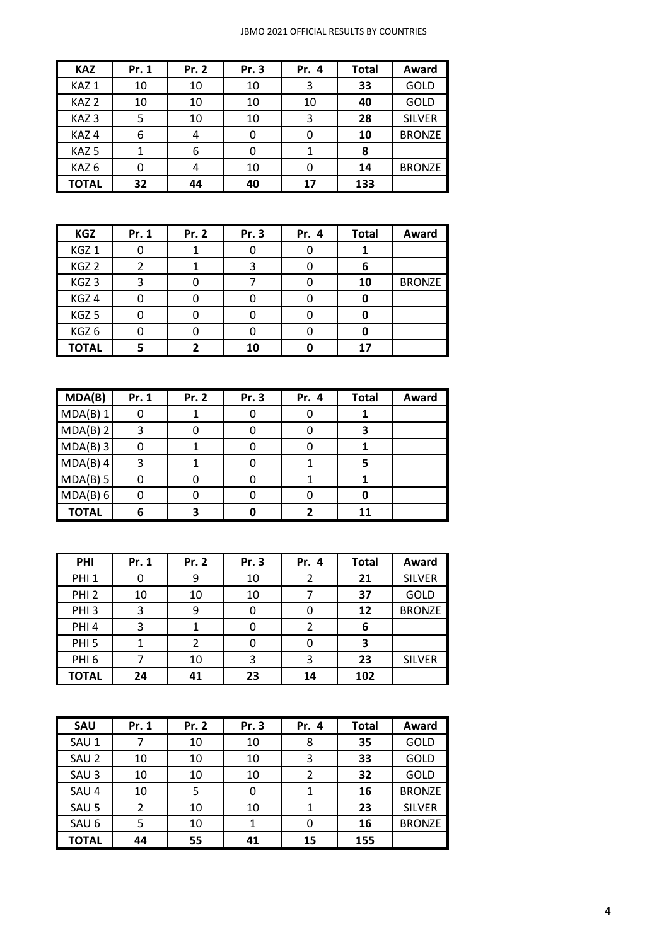| <b>KAZ</b>       | Pr. 1 | Pr. 2 | Pr. 3 | Pr. 4 | <b>Total</b> | Award         |
|------------------|-------|-------|-------|-------|--------------|---------------|
| KAZ <sub>1</sub> | 10    | 10    | 10    | 3     | 33           | GOLD          |
| KAZ <sub>2</sub> | 10    | 10    | 10    | 10    | 40           | GOLD          |
| KAZ <sub>3</sub> | 5     | 10    | 10    | 3     | 28           | <b>SILVER</b> |
| KAZ4             | 6     | 4     |       | 0     | 10           | <b>BRONZE</b> |
| KAZ <sub>5</sub> | 1     | 6     | 0     | 1     | 8            |               |
| KAZ <sub>6</sub> | 0     | 4     | 10    | 0     | 14           | <b>BRONZE</b> |
| TOTAL            | 32    | 44    | 40    | 17    | 133          |               |

| <b>KGZ</b>       | Pr. 1 | Pr. 2 | Pr. 3 | Pr. 4 | <b>Total</b> | Award         |
|------------------|-------|-------|-------|-------|--------------|---------------|
| KGZ <sub>1</sub> |       |       |       |       |              |               |
| KGZ <sub>2</sub> |       |       |       |       | 6            |               |
| KGZ <sub>3</sub> | 3     |       |       |       | 10           | <b>BRONZE</b> |
| KGZ <sub>4</sub> |       |       |       |       | 0            |               |
| KGZ <sub>5</sub> |       |       |       |       |              |               |
| KGZ6             |       |       |       |       |              |               |
| <b>TOTAL</b>     |       |       | 10    |       | 17           |               |

| MDA(B)       | Pr. 1 | Pr. 2 | Pr. 3 | Pr. 4 | <b>Total</b> | Award |
|--------------|-------|-------|-------|-------|--------------|-------|
| MDA(B) 1     | 0     |       |       | 0     |              |       |
| MDA(B) 2     | 3     | O     |       | O     |              |       |
| $MDA(B)$ 3   | 0     |       |       | O     |              |       |
| MDA(B) 4     | 3     |       |       |       |              |       |
| MDA(B) 5     | 0     | 0     |       |       |              |       |
| MDA(B) 6     | 0     | 0     |       | 0     |              |       |
| <b>TOTAL</b> | 6     |       |       |       | 11           |       |

| PHI              | Pr. 1 | Pr. 2 | Pr. 3 | Pr. 4 | <b>Total</b> | Award         |
|------------------|-------|-------|-------|-------|--------------|---------------|
| PHI <sub>1</sub> |       | 9     | 10    |       | 21           | <b>SILVER</b> |
| PHI <sub>2</sub> | 10    | 10    | 10    |       | 37           | GOLD          |
| PHI <sub>3</sub> | 3     | 9     |       |       | 12           | <b>BRONZE</b> |
| PHI <sub>4</sub> | 3     |       | 0     | 2     | 6            |               |
| PHI <sub>5</sub> |       |       |       | 0     | З            |               |
| PHI <sub>6</sub> |       | 10    | ς     | 3     | 23           | <b>SILVER</b> |
| <b>TOTAL</b>     | 24    | 41    | 23    | 14    | 102          |               |

| SAU              | Pr. 1 | Pr. 2 | Pr. 3 | Pr. 4 | <b>Total</b> | Award         |
|------------------|-------|-------|-------|-------|--------------|---------------|
| SAU 1            |       | 10    | 10    | 8     | 35           | GOLD          |
| SAU <sub>2</sub> | 10    | 10    | 10    | 3     | 33           | <b>GOLD</b>   |
| SAU <sub>3</sub> | 10    | 10    | 10    | 2     | 32           | GOLD          |
| SAU 4            | 10    | 5     |       |       | 16           | <b>BRONZE</b> |
| SAU <sub>5</sub> | 2     | 10    | 10    |       | 23           | <b>SILVER</b> |
| SAU <sub>6</sub> | 5     | 10    |       | 0     | 16           | <b>BRONZE</b> |
| TOTAL            | 44    | 55    | 41    | 15    | 155          |               |